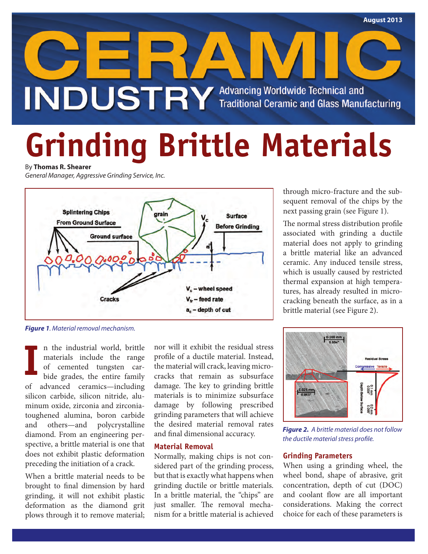

# **Grinding Brittle Materials**

By **Thomas R. Shearer**

*General Manager, Aggressive Grinding Service, Inc.*



*Figure 1. Material removal mechanism.*

n the industrial world, brittle materials include the range of cemented tungsten carbide grades, the entire family of advanced ceramics—including silicon carbide, silicon nitride, aluminum oxide, zirconia and zirconiatoughened alumina, boron carbide and others—and polycrystalline diamond. From an engineering perspective, a brittle material is one that does not exhibit plastic deformation preceding the initiation of a crack. **I**

When a brittle material needs to be brought to final dimension by hard grinding, it will not exhibit plastic deformation as the diamond grit plows through it to remove material; nor will it exhibit the residual stress profile of a ductile material. Instead, the material will crack, leaving microcracks that remain as subsurface damage. The key to grinding brittle materials is to minimize subsurface damage by following prescribed grinding parameters that will achieve the desired material removal rates and final dimensional accuracy.

## **Material Removal**

Normally, making chips is not considered part of the grinding process, but that is exactly what happens when grinding ductile or brittle materials. In a brittle material, the "chips" are just smaller. The removal mechanism for a brittle material is achieved

through micro-fracture and the subsequent removal of the chips by the next passing grain (see Figure 1).

The normal stress distribution profile associated with grinding a ductile material does not apply to grinding a brittle material like an advanced ceramic. Any induced tensile stress, which is usually caused by restricted thermal expansion at high temperatures, has already resulted in microcracking beneath the surface, as in a brittle material (see Figure 2).



*Figure 2. A brittle material does not follow the ductile material stress profile.*

## **Grinding Parameters**

When using a grinding wheel, the wheel bond, shape of abrasive, grit concentration, depth of cut (DOC) and coolant flow are all important considerations. Making the correct choice for each of these parameters is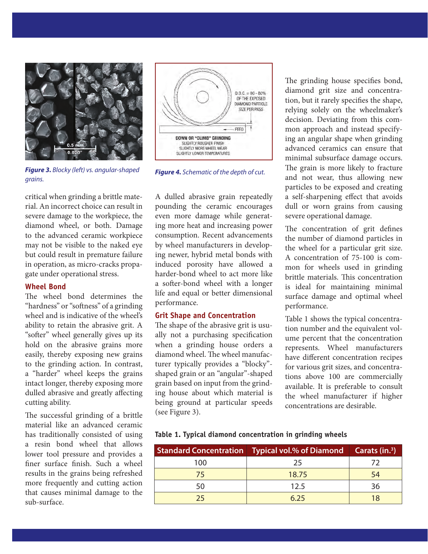

*Figure 3. Blocky (left) vs. angular-shaped grains.*

critical when grinding a brittle material. An incorrect choice can result in severe damage to the workpiece, the diamond wheel, or both. Damage to the advanced ceramic workpiece may not be visible to the naked eye but could result in premature failure in operation, as micro-cracks propagate under operational stress.

## **Wheel Bond**

The wheel bond determines the "hardness" or "softness" of a grinding wheel and is indicative of the wheel's ability to retain the abrasive grit. A "softer" wheel generally gives up its hold on the abrasive grains more easily, thereby exposing new grains to the grinding action. In contrast, a "harder" wheel keeps the grains intact longer, thereby exposing more dulled abrasive and greatly affecting cutting ability.

The successful grinding of a brittle material like an advanced ceramic has traditionally consisted of using a resin bond wheel that allows lower tool pressure and provides a finer surface finish. Such a wheel results in the grains being refreshed more frequently and cutting action that causes minimal damage to the sub-surface.

A dulled abrasive grain repeatedly pounding the ceramic encourages even more damage while generating more heat and increasing power consumption. Recent advancements by wheel manufacturers in developing newer, hybrid metal bonds with induced porosity have allowed a harder-bond wheel to act more like a softer-bond wheel with a longer life and equal or better dimensional performance.

### **Grit Shape and Concentration**

The shape of the abrasive grit is usually not a purchasing specification when a grinding house orders a diamond wheel. The wheel manufacturer typically provides a "blocky" shaped grain or an "angular"-shaped grain based on input from the grinding house about which material is being ground at particular speeds (see Figure 3).

The grinding house specifies bond, diamond grit size and concentration, but it rarely specifies the shape, relying solely on the wheelmaker's decision. Deviating from this common approach and instead specifying an angular shape when grinding advanced ceramics can ensure that minimal subsurface damage occurs. The grain is more likely to fracture and not wear, thus allowing new particles to be exposed and creating a self-sharpening effect that avoids dull or worn grains from causing severe operational damage.

The concentration of grit defines the number of diamond particles in the wheel for a particular grit size. A concentration of 75-100 is common for wheels used in grinding brittle materials. This concentration is ideal for maintaining minimal surface damage and optimal wheel performance.

Table 1 shows the typical concentration number and the equivalent volume percent that the concentration represents. Wheel manufacturers have different concentration recipes for various grit sizes, and concentrations above 100 are commercially available. It is preferable to consult the wheel manufacturer if higher concentrations are desirable.

**Table 1. Typical diamond concentration in grinding wheels**

|     | Standard Concentration   Typical vol.% of Diamond   Carats (in. <sup>3</sup> ) |    |
|-----|--------------------------------------------------------------------------------|----|
| 100 | 25                                                                             | 72 |
| 75  | 18.75                                                                          |    |
| 50  | 12.5                                                                           | 36 |
| つち  |                                                                                |    |

*Figure 4. Schematic of the depth of cut.*

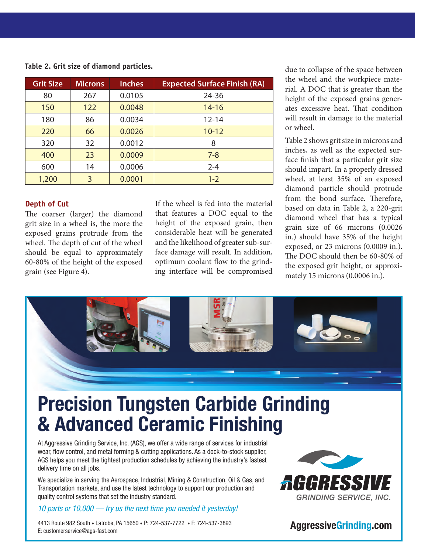| <b>Grit Size</b> | <b>Microns</b> | <b>Inches</b> | <b>Expected Surface Finish (RA)</b> |
|------------------|----------------|---------------|-------------------------------------|
| 80               | 267            | 0.0105        | 24-36                               |
| 150              | 122            | 0.0048        | $14 - 16$                           |
| 180              | 86             | 0.0034        | $12 - 14$                           |
| 220              | 66             | 0.0026        | $10 - 12$                           |
| 320              | 32             | 0.0012        | 8                                   |
| 400              | 23             | 0.0009        | $7 - 8$                             |
| 600              | 14             | 0.0006        | $2 - 4$                             |
| 1,200            | 3              | 0.0001        | $1 - 2$                             |

**Table 2. Grit size of diamond particles.**

## **Depth of Cut**

The coarser (larger) the diamond grit size in a wheel is, the more the exposed grains protrude from the wheel. The depth of cut of the wheel should be equal to approximately 60-80% of the height of the exposed grain (see Figure 4).

If the wheel is fed into the material that features a DOC equal to the height of the exposed grain, then considerable heat will be generated and the likelihood of greater sub-surface damage will result. In addition, optimum coolant flow to the grinding interface will be compromised due to collapse of the space between the wheel and the workpiece material. A DOC that is greater than the height of the exposed grains generates excessive heat. That condition will result in damage to the material or wheel.

Table 2 shows grit size in microns and inches, as well as the expected surface finish that a particular grit size should impart. In a properly dressed wheel, at least 35% of an exposed diamond particle should protrude from the bond surface. Therefore, based on data in Table 2, a 220-grit diamond wheel that has a typical grain size of 66 microns (0.0026 in.) should have 35% of the height exposed, or 23 microns (0.0009 in.). The DOC should then be 60-80% of the exposed grit height, or approximately 15 microns (0.0006 in.).



quality control systems that set the industry standard.

*10 parts or 10,000 — try us the next time you needed it yesterday!*

4413 Route 982 South • Latrobe, PA 15650 • P: 724-537-7722 • F: 724-537-3893<br>E: customerservice@ags-fast.com